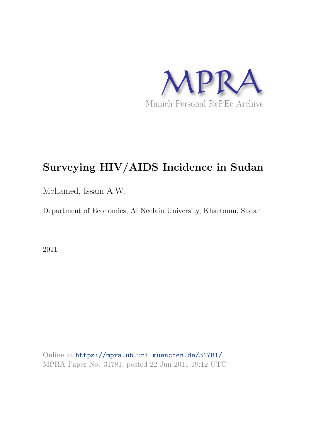

# **Surveying HIV/AIDS Incidence in Sudan**

Mohamed, Issam A.W.

Department of Economics, Al Neelain University, Khartoum, Sudan

2011

Online at https://mpra.ub.uni-muenchen.de/31781/ MPRA Paper No. 31781, posted 22 Jun 2011 19:12 UTC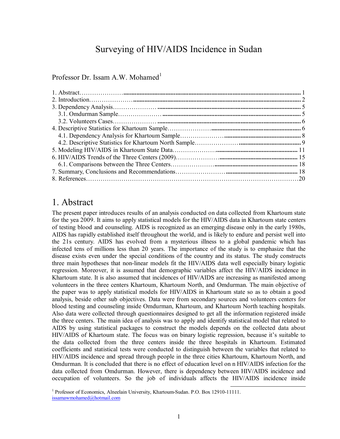# Surveying of HIV/AIDS Incidence in Sudan

Professor Dr. Issam A.W. Mohamed<sup>1</sup>

### 1. Abstract

The present paper introduces results of an analysis conducted on data collected from Khartoum state for the yea 2009. It aims to apply statistical models for the HIV/AIDS data in Khartoum state centers of testing blood and counseling. AIDS is recognized as an emerging disease only in the early 1980s, AIDS has rapidly established itself throughout the world, and is likely to endure and persist well into the 21s century. AIDS has evolved from a mysterious illness to a global pandemic which has infected tens of millions less than 20 years. The importance of the study is to emphasize that the disease exists even under the special conditions of the country and its status. The study constructs three main hypotheses that non-linear models fit the HIV/AIDS data well especially binary logistic regression. Moreover, it is assumed that demographic variables affect the HIV/AIDS incidence in Khartoum state. It is also assumed that incidences of HIV/AIDS are increasing as manifested among volunteers in the three centers Khartoum, Khartoum North, and Omdurman. The main objective of the paper was to apply statistical models for HIV/AIDS in Khartoum state so as to obtain a good analysis, beside other sub objectives. Data were from secondary sources and volunteers centers for blood testing and counseling inside Omdurman, Khartoum, and Khartoum North teaching hospitals. Also data were collected through questionnaires designed to get all the information registered inside the three centers. The main idea of analysis was to apply and identify statistical model that related to AIDS by using statistical packages to construct the models depends on the collected data about HIV/AIDS of Khartoum state. The focus was on binary logistic regression, because it's suitable to the data collected from the three centers inside the three hospitals in Khartoum. Estimated coefficients and statistical tests were conducted to distinguish between the variables that related to HIV/AIDS incidence and spread through people in the three cities Khartoum, Khartoum North, and Omdurman. It is concluded that there is no effect of education level on n HIV/AIDS infection for the data collected from Omdurman. However, there is dependency between HIV/AIDS incidence and occupation of volunteers. So the job of individuals affects the HIV/AIDS incidence inside

 1 Professor of Economics, Alneelain University, Khartoum-Sudan. P.O. Box 12910-11111. issamawmohamed@hotmail.com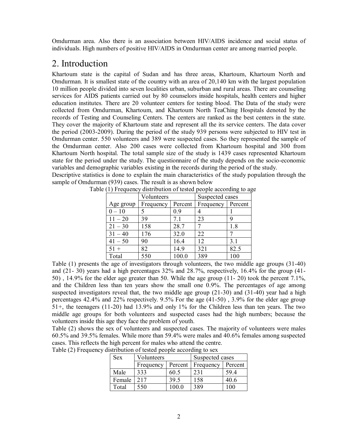Omdurman area. Also there is an association between HIV/AIDS incidence and social status of individuals. High numbers of positive HIV/AIDS in Omdurman center are among married people.

# 2. Introduction

Khartoum state is the capital of Sudan and has three areas, Khartoum, Khartoum North and Omdurman. It is smallest state of the country with an area of 20,140 km with the largest population 10 million people divided into seven localities urban, suburban and rural areas. There are counseling services for AIDS patients carried out by 80 counselors inside hospitals, health centers and higher education institutes. There are 20 volunteer centers for testing blood. The Data of the study were collected from Omdurman, Khartoum, and Khartoum North TeaChing Hospitals denoted by the records of Testing and Counseling Centers. The centers are ranked as the best centers in the state. They cover the majority of Khartoum state and represent all the its service centers. The data cover the period (2003-2009). During the period of the study 939 persons were subjected to HIV test in Omdurman center. 550 volunteers and 389 were suspected cases. So they represented the sample of the Omdurman center. Also 200 cases were collected from Khartoum hospital and 300 from Khartoum North hospital. The total sample size of the study is 1439 cases represented Khartoum state for the period under the study. The questionnaire of the study depends on the socio-economic variables and demographic variables existing in the records during the period of the study. Descriptive statistics is done to explain the main characteristics of the study population through the

|           | Volunteers |         | Suspected cases |         |  |
|-----------|------------|---------|-----------------|---------|--|
| Age group | Frequency  | Percent | Frequency       | Percent |  |
| $0 - 10$  |            | 0.9     |                 |         |  |
| $11 - 20$ | 39         | 7.1     | 23              | 9       |  |
| $21 - 30$ | 158        | 28.7    |                 | 1.8     |  |
| $31 - 40$ | 176        | 32.0    | 22              |         |  |
| $41 - 50$ | 90         | 16.4    | 12              | 3.1     |  |
| $51 +$    | 82         | 14.9    | 321             | 82.5    |  |
| Total     | 550        | 100.0   | 389             | 100     |  |

Table (1) Frequency distribution of tested people according to age

Table (1) presents the age of investigators through volunteers, the two middle age groups (31-40) and (21- 30) years had a high percentages 32% and 28.7%, respectively, 16.4% for the group (41- 50) , 14.9% for the elder age greater than 50. While the age group (11- 20) took the percent 7.1%, and the Children less than ten years show the small one 0.9%. The percentages of age among suspected investigators reveal that, the two middle age group (21-30) and (31-40) year had a high percentages 42.4% and 22% respectively. 9.5% For the age (41-50) , 3.9% for the elder age group 51+, the teenagers (11-20) had 13.9% and only 1% for the Children less than ten years. The two middle age groups for both volunteers and suspected cases had the high numbers; because the volunteers inside this age they face the problem of youth.

Table (2) shows the sex of volunteers and suspected cases. The majority of volunteers were males 60.5% and 39.5% females. While more than 59.4% were males and 40.6% females among suspected cases. This reflects the high percent for males who attend the centre.

| <b>Sex</b> | Volunteers |         | Suspected cases |         |  |
|------------|------------|---------|-----------------|---------|--|
|            | Frequency  | Percent | Frequency       | Percent |  |
| Male       | 333        | 60.5    | 231             | 59.4    |  |
| Female     | 2.17       | 39.5    | 158             | 40.6    |  |
| Total      | 550        | 100 0   | 389             | 00      |  |

Table (2) Frequency distribution of tested people according to sex

sample of Omdurman (939) cases. The result is as shown below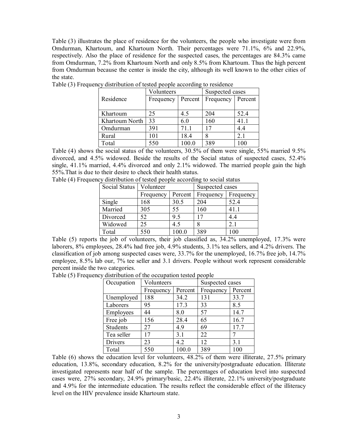Table (3) illustrates the place of residence for the volunteers, the people who investigate were from Omdurman, Khartoum, and Khartoum North. Their percentages were 71.1%, 6% and 22.9%, respectively. Also the place of residence for the suspected cases, the percentages are 84.3% came from Omdurman, 7.2% from Khartoum North and only 8.5% from Khartoum. Thus the high percent from Omdurman because the center is inside the city, although its well known to the other cities of the state.

|                | Volunteers |         | Suspected cases |         |  |
|----------------|------------|---------|-----------------|---------|--|
| Residence      | Frequency  | Percent | Frequency       | Percent |  |
|                |            |         |                 |         |  |
| Khartoum       | 25         | 4.5     | 204             | 52.4    |  |
| Khartoum North | 33         | 6.0     | 160             | 41.1    |  |
| Omdurman       | 391        | 71.1    | 17              | 44      |  |
| Rural          | 101        | 18.4    |                 | 2.1     |  |
| Total          | 550        | 100.0   | 389             | $100 -$ |  |

Table (3) Frequency distribution of tested people according to residence

Table (4) shows the social status of the volunteers, 30.5% of them were single, 55% married 9.5% divorced, and 4.5% widowed. Beside the results of the Social status of suspected cases, 52.4% single, 41.1% married, 4.4% divorced and only 2.1% widowed. The married people gain the high 55%.That is due to their desire to check their health status.

|  |  |  |  | Table (4) Frequency distribution of tested people according to social status |  |  |
|--|--|--|--|------------------------------------------------------------------------------|--|--|
|  |  |  |  |                                                                              |  |  |

| Social Status | Volunteer |         | Suspected cases |           |  |
|---------------|-----------|---------|-----------------|-----------|--|
|               | Frequency | Percent | Frequency       | Frequency |  |
| Single        | 168       | 30.5    | 204             | 52.4      |  |
| Married       | 305       | 55      | 160             | 41.1      |  |
| Divorced      | 52        | 9.5     |                 | 4.4       |  |
| Widowed       | 25        | 4.5     |                 | 2.1       |  |
| Total         | 550       | 100.0   | 389             | 100       |  |

Table (5) reports the job of volunteers, their job classified as, 34.2% unemployed, 17.3% were laborers, 8% employees, 28.4% had free job, 4.9% students, 3.1% tea sellers, and 4.2% drivers. The classification of job among suspected cases were, 33.7% for the unemployed, 16.7% free job, 14.7% employee, 8.5% lab our, 7% tee seller and 3.1 drivers. People without work represent considerable percent inside the two categories.

Table (5) Frequency distribution of the occupation tested people

| Occupation      | Volunteers |         | Suspected cases |         |  |
|-----------------|------------|---------|-----------------|---------|--|
|                 | Frequency  | Percent | Frequency       | Percent |  |
| Unemployed      | 188        | 34.2    | 131             | 33.7    |  |
| Laborers        | 95         | 17.3    | 33              | 8.5     |  |
| Employees       | 44         | 8.0     | 57              | 14.7    |  |
| Free job        | 156        | 28.4    | 65              | 16.7    |  |
| <b>Students</b> | 27         | 49      | 69              | 17.7    |  |
| Tea seller      | 17         | 3.1     | 22              |         |  |
| Drivers         | 23         | 4.2     | 12              | 3.1     |  |
| Total           | 550        | 100.0   | 389             | 100     |  |

Table (6) shows the education level for volunteers, 48.2% of them were illiterate, 27.5% primary education, 13.8%, secondary education, 8.2% for the university/postgraduate education. Illiterate investigated represents near half of the sample. The percentages of education level into suspected cases were, 27% secondary, 24.9% primary/basic, 22.4% illiterate, 22.1% university/postgraduate and 4.9% for the intermediate education. The results reflect the considerable effect of the illiteracy level on the HIV prevalence inside Khartoum state.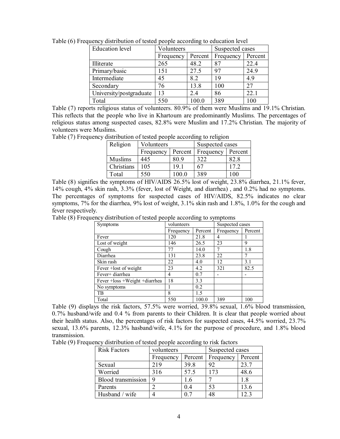| <b>Education</b> level  | Volunteers |         | Suspected cases |         |  |
|-------------------------|------------|---------|-----------------|---------|--|
|                         | Frequency  | Percent | Frequency       | Percent |  |
| Illiterate              | 265        | 48.2    | 87              | 22.4    |  |
| Primary/basic           | 151        | 27.5    | 97              | 24.9    |  |
| Intermediate            | 45         | 8.2     | 19              | 4.9     |  |
| Secondary               | 76         | 13.8    | 100             | 27      |  |
| University/postgraduate | 13         | 2.4     | 86              | 22.1    |  |
| Total                   | 550        | 100.0   | 389             | 100     |  |

Table (6) Frequency distribution of tested people according to education level

Table (7) reports religious status of volunteers. 80.9% of them were Muslims and 19.1% Christian. This reflects that the people who live in Khartoum are predominantly Muslims. The percentages of religious status among suspected cases, 82.8% were Muslim and 17.2% Christian. The majority of volunteers were Muslims.

Table (7) Frequency distribution of tested people according to religion

| Religion       | Volunteers |         | Suspected cases |         |  |
|----------------|------------|---------|-----------------|---------|--|
|                | Frequency  | Percent | Frequency       | Percent |  |
| <b>Muslims</b> | 445        | 809     | 322             | 82.8    |  |
| Christians     | 105        | 191     | 67              | 17.2    |  |
| Total          | 550        | 100.0   | 389             | 100     |  |

Table (8) signifies the symptoms of HIV/AIDS 26.5% lost of weight, 23.8% diarrhea, 21.1% fever, 14% cough, 4% skin rash, 3.3% (fever, lost of Weight, and diarrhea) , and 0.2% had no symptoms. The percentages of symptoms for suspected cases of HIV/AIDS, 82.5% indicates no clear symptoms, 7% for the diarrhea, 9% lost of weight, 3.1% skin rash and 1.8%, 1.0% for the cough and fever respectively.

Table (8) Frequency distribution of tested people according to symptoms

| <b>Symptoms</b>                  | volunteers |         |           | Suspected cases |  |
|----------------------------------|------------|---------|-----------|-----------------|--|
|                                  | Frequency  | Percent | Frequency | Percent         |  |
| Fever                            | 120        | 21.8    | 4         |                 |  |
| Lost of weight                   | 146        | 26.5    | 23        | 9               |  |
| Cough                            | 77         | 14.0    |           | 1.8             |  |
| Diarrhea                         | 131        | 23.8    | 22        |                 |  |
| Skin rash                        | 22         | 4.0     | 12        | 3.1             |  |
| Fever +lost of weight            | 23         | 4.2     | 321       | 82.5            |  |
| Fever+ diarrhea                  | 4          | 0.7     |           |                 |  |
| Fever + loss + Weight + diarrhea | 18         | 3.3     |           |                 |  |
| No symptoms                      |            | 0.2     |           |                 |  |
| TB                               | 8          | 15      |           |                 |  |
| Total                            | 550        | 100.0   | 389       | 100             |  |

Table (9) displays the risk factors, 57.5% were worried, 39.8% sexual, 1.6% blood transmission, 0.7% husband/wife and 0.4 % from parents to their Children. It is clear that people worried about their health status. Also, the percentages of risk factors for suspected cases, 44.5% worried, 23.7% sexual, 13.6% parents, 12.3% hasband/wife, 4.1% for the purpose of procedure, and 1.8% blood transmission.

Table (9) Frequency distribution of tested people according to risk factors

| <b>Risk Factors</b> | volunteers |                | Suspected cases |         |
|---------------------|------------|----------------|-----------------|---------|
|                     | Frequency  | Percent        | Frequency       | Percent |
| Sexual              | 219        | 39.8           | 92              | 23.7    |
| Worried             | 316        | 57.5           | 173             | 48.6    |
| Blood transmission  | 9          | 1.6            |                 | 1.8     |
| Parents             |            | 0 <sub>4</sub> | 53              | 13.6    |
| Husband / wife      |            | 0 <sub>7</sub> | 48              | 123     |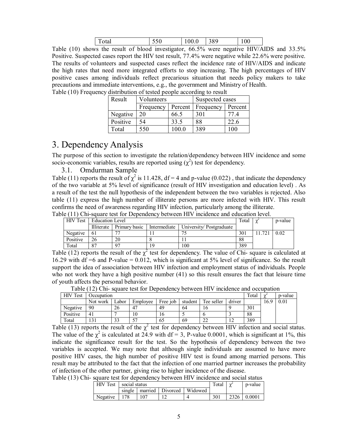| $\cdot$ $\sim$ $\sim$ $\cdot$<br>10tal |  |  | 389<br>-- | v |
|----------------------------------------|--|--|-----------|---|
|----------------------------------------|--|--|-----------|---|

Table (10) shows the result of blood investigator, 66.5% were negative HIV/AIDS and 33.5% Positive. Suspected cases report the HIV test result, 77.4% were negative while 22.6% were positive. The results of volunteers and suspected cases reflect the incidence rate of HIV/AIDS and indicate the high rates that need more integrated efforts to stop increasing. The high percentages of HIV positive cases among individuals reflect precarious situation that needs policy makers to take precautions and immediate interventions, e.g., the government and Ministry of Health. Table (10) Frequency distribution of tested people according to result

| Result   | Volunteers |         | Suspected cases |         |  |  |
|----------|------------|---------|-----------------|---------|--|--|
|          | Frequency  | Percent | Frequency       | Percent |  |  |
| Negative | 20         | 66.5    | 301             |         |  |  |
| Positive | 54         | 33.5    | 88              | 22.6    |  |  |
| Total    | 550        |         | 389             |         |  |  |

# 3. Dependency Analysis

The purpose of this section to investigate the relation/dependency between HIV incidence and some socio-economic variables, results are reported using  $(\chi^2)$  test for dependency.

#### 3.1. Omdurman Sample

Table (11) reports the result of  $\chi^2$  is 11.428, df = 4 and p-value (0.022), that indicate the dependency of the two variable at 5% level of significance (result of HIV investigation and education level) . As a result of the test the null hypothesis of the independent between the two variables is rejected. Also table (11) express the high number of illiterate persons are more infected with HIV. This result confirms the need of awareness regarding HIV infection, particularly among the illiterate.

|  |  | Table (11) Chi-square test for Dependency between HIV incidence and education level. |
|--|--|--------------------------------------------------------------------------------------|
|  |  |                                                                                      |

| <b>HIV Test</b> | <b>Education Level</b> |               | Total        |                         | p-value |              |      |
|-----------------|------------------------|---------------|--------------|-------------------------|---------|--------------|------|
|                 | Illiterate             | Primary basic | Intermediate | University/Postgraduate |         |              |      |
| Negative        | -61                    |               |              |                         | 301     | $72^{\circ}$ | 0.02 |
| Positive        | 26                     | 20            |              |                         | 88      |              |      |
| Total           | O <sub>7</sub>         |               | 19           | 100                     | 389     |              |      |

Table (12) reports the result of the  $\chi^2$  test for dependency. The value of Chi- square is calculated at 16.29 with df =6 and P-value = 0.012, which is significant at 5% level of significance. So the result support the idea of association between HIV infection and employment status of individuals. People who not work they have a high positive number (41) so this result ensures the fact that leisure time of youth affects the personal behavior.

| <b>HIV</b> Test | <b>Decupation</b> |                           |          |          |         |              |        | Total | $\sim$ | p-value |
|-----------------|-------------------|---------------------------|----------|----------|---------|--------------|--------|-------|--------|---------|
|                 | Not work          | _abor                     | Employee | Free job | student | Tee seller   | driver |       | 16.9   | 0.01    |
| Negative        | 90                | 26                        |          | 49       | 64      | 10           |        | 301   |        |         |
| Positive        | 41                |                           | 10       | 16       |         |              |        | 88    |        |         |
| Total           | $\mathbf{1}$      | $\mathbf{\hat{a}}$<br>د د | гn       | 65       | 69      | $\sim$<br>∠∠ |        | 389   |        |         |

Table (12) Chi- square test for Dependency between HIV incidence and occupation

Table (13) reports the result of the  $\chi^2$  test for dependency between HIV infection and social status. The value of the  $\chi^2$  is calculated at 24.9 with df = 3, P-value 0.0001, which is significant at 1%, this indicate the significance result for the test. So the hypothesis of dependency between the two variables is accepted. We may note that although single individuals are assumed to have more positive HIV cases, the high number of positive HIV test is found among married persons. This result may be attributed to the fact that the infection of one married partner increases the probability of infection of the other partner, giving rise to higher incidence of the disease.

Table (13) Chi- square test for dependency between HIV incidence and social status

| <b>HIV</b> Test | social status |         | Total    | ∼       | p-value         |      |        |
|-----------------|---------------|---------|----------|---------|-----------------|------|--------|
|                 | single        | married | Divorced | Widowed |                 |      |        |
| Negative        | . 79          |         |          |         | 30 <sup>1</sup> | 2326 | 0.0001 |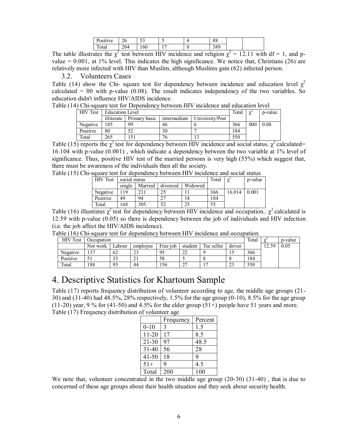| T.<br>Tve:<br>USILI. | $\sim$<br>∠∪ | $\sim$<br>◡      |  | o o<br>00         |  |
|----------------------|--------------|------------------|--|-------------------|--|
| ÷<br>' otal          | 204          | $\epsilon$<br>60 |  | $\Omega$<br>د ن ر |  |

The table illustrates the  $\chi^2$  test between HIV incidence and religion  $\chi^2 = 12.11$  with df = 1, and pvalue  $= 0.001$ , at 1% level. This indicates the high significance. We notice that, Christians (26) are relatively more infected with HIV than Muslim, although Muslims gain (62) infected person.

#### 3.2. Volunteers Cases

Table (14) show the Chi- square test for dependency between incidence and education level  $\chi^2$ calculated  $= 00$  with p-value (0.08). The result indicates independency of the two variables. So education didn't influence HIV/AIDS incidence.

Table (14) Chi-square test for Dependency between HIV incidence and education level

| <b>HIV</b> Test | <b>Education Level</b> |               | Total        | $\sim$          | p-value |     |      |
|-----------------|------------------------|---------------|--------------|-----------------|---------|-----|------|
|                 | illiterate             | Primary basic | intermediate | University/Post |         |     |      |
| Negative        | 185                    | 99            | 46           |                 | 366     | 000 | 0.08 |
| Positive        | 80                     |               | 30           |                 | 184     |     |      |
| Total           | 265                    |               | 76           |                 | 550     |     |      |

Table (15) reports the  $\chi^2$  test for dependency between HIV incidence and social status.  $\chi^2$  calculated= 16.104 with p-value (0.001) , which indicate a dependency between the two variable at 1% level of significance. Thus, positive HIV test of the married persons is very high (55%) which suggest that, there must be awareness of the individuals then all the society.

| Table (15) Chi-square test for dependency between HIV incidence and social status |                        |  |                                       |                |         |
|-----------------------------------------------------------------------------------|------------------------|--|---------------------------------------|----------------|---------|
|                                                                                   | HIV Test Social status |  |                                       | Total $\chi^2$ | b-value |
|                                                                                   |                        |  | single   Married   divorced   Widowed |                |         |

| HIV IEST | social status |         |          |         | Total | $\sim$<br>∼ | p-value |
|----------|---------------|---------|----------|---------|-------|-------------|---------|
|          | single        | Married | divorced | Widowed |       |             |         |
| Negative | 19            |         |          |         | 366   | 16.014      | 0.001   |
| Positive | 49            | 94      | ີ        | 14      | 184   |             |         |
| Total    | 168           | 305     | 50       | 25      | 55    |             |         |

Table (16) illustrates  $\chi^2$  test for dependency between HIV incidence and occupation..  $\chi^2$  calculated is 12.59 with p-value (0.05) so there is dependency between the job of individuals and HIV infection (i.e. the job affect the HIV/AIDS incidence).

|  |  |  |  |  |  |  |  |  | Table (16) Chi-square test for dependency between HIV incidence and occupation. |  |  |
|--|--|--|--|--|--|--|--|--|---------------------------------------------------------------------------------|--|--|
|--|--|--|--|--|--|--|--|--|---------------------------------------------------------------------------------|--|--|

| HIV<br>Test | Occupation |                           |          |          |                    |            |        | Total |          | p-value |
|-------------|------------|---------------------------|----------|----------|--------------------|------------|--------|-------|----------|---------|
|             | Not work   | ∟abour                    | employee | Free job | student            | Tee seller | driver |       | 59<br>12 | 0.05    |
| Negative    | 27         | 62                        | າາ<br>43 | 95       | $\mathbf{A}$<br>∠∠ |            |        | 366   |          |         |
| Positive    | ◡          | $\mathbf{\hat{z}}$<br>ر ر | ∠ 1      | 58       |                    |            |        | 184   |          |         |
| Total       | 188        | 95                        | 44       | 156      |                    |            | نەك    | 550   |          |         |

# 4. Descriptive Statistics for Khartoum Sample

Table (17) reports frequency distribution of volunteer according to age, the middle age groups (21- 30) and (31-40) had 48.5%, 28% respectively, 1.5% for the age group (0-10), 8.5% for the age group  $(11-20)$  year, 9 % for  $(41-50)$  and 4.5% for the elder group  $(51+)$  people have 51 years and more. Table (17) Frequency distribution of volunteer age

|           | Frequency | Percent |
|-----------|-----------|---------|
| $0 - 10$  | 3         | 1.5     |
| $11 - 20$ | 17        | 8.5     |
| 21-30     | 97        | 48.5    |
| $31 - 40$ | 56        | 28      |
| 41-50     | 18        | q       |
| $51+$     | q         | 4.5     |
| Total     | 200       | 100     |

We note that, volunteer concentrated in the two middle age group (20-30) (31-40), that is due to concerned of these age groups about their health situation and they seek about security health.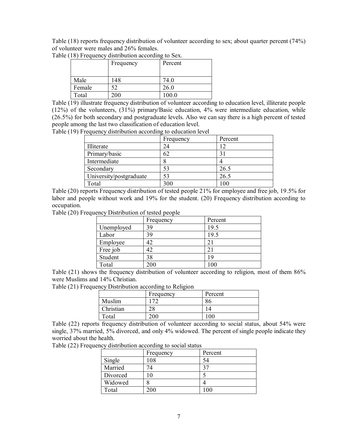Table (18) reports frequency distribution of volunteer according to sex; about quarter percent (74%) of volunteer were males and 26% females.

|        | Frequency | Percent |
|--------|-----------|---------|
|        |           |         |
| Male   | 148       | 74.0    |
| Female |           | 26.0    |
| Total  | 200       | 100.0   |

Table (18) Frequency distribution according to Sex.

Table (19) illustrate frequency distribution of volunteer according to education level, illiterate people (12%) of the volunteers, (31%) primary/Basic education, 4% were intermediate education, while (26.5%) for both secondary and postgraduate levels. Also we can say there is a high percent of tested people among the last two classification of education level.

Table (19) Frequency distribution according to education level

|                         | Frequency | Percent       |
|-------------------------|-----------|---------------|
| Illiterate              | 24        |               |
| Primary/basic           | 62        | $\mathcal{E}$ |
| Intermediate            |           |               |
| Secondary               | 53        | 26.5          |
| University/postgraduate | 53        | 26.5          |
| Total                   | 300       | 100           |

Table (20) reports Frequency distribution of tested people 21% for employee and free job, 19.5% for labor and people without work and 19% for the student. (20) Frequency distribution according to occupation.

Table (20) Frequency Distribution of tested people

|            | Frequency | Percent |
|------------|-----------|---------|
| Unemployed | 39        | 19.5    |
| Labor      | 39        | 19.5    |
| Employee   | 42        | 21      |
| Free job   | 42        | 21      |
| Student    | 38        | 19      |
| Total      | 200       |         |

Table (21) shows the frequency distribution of volunteer according to religion, most of them 86% were Muslims and 14% Christian.

Table (21) Frequency Distribution according to Religion

|           | Frequency      | Percent |
|-----------|----------------|---------|
| Muslim    | 172            | 86      |
| Christian | $\gamma$<br>۷٥ |         |
| Total     | 200            | 00      |

Table (22) reports frequency distribution of volunteer according to social status, about 54% were single, 37% married, 5% divorced, and only 4% widowed. The percent of single people indicate they worried about the health.

Table (22) Frequency distribution according to social status

|          | Frequency | Percent       |
|----------|-----------|---------------|
| Single   | 108       | 54            |
| Married  | 74        | $2^{\pi}$     |
| Divorced | $\theta$  |               |
| Widowed  |           |               |
| Total    | 200       | $100^{\circ}$ |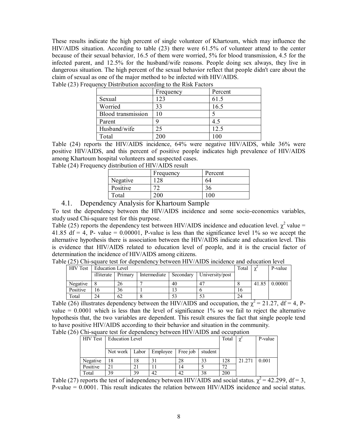These results indicate the high percent of single volunteer of Khartoum, which may influence the HIV/AIDS situation. According to table (23) there were 61.5% of volunteer attend to the center because of their sexual behavior, 16.5 of them were worried, 5% for blood transmission, 4.5 for the infected parent, and 12.5% for the husband/wife reasons. People doing sex always, they live in dangerous situation. The high percent of the sexual behavior reflect that people didn't care about the claim of sexual as one of the major method to be infected with HIV/AIDS.

|                           | Frequency | Percent |
|---------------------------|-----------|---------|
| Sexual                    | 123       | 61.5    |
| Worried                   | 33        | 16.5    |
| <b>Blood</b> transmission | 10        |         |
| Parent                    |           | 4.5     |
| Husband/wife              | 25        | 12.5    |
| Total                     | 200       |         |

Table (23) Frequency Distribution according to the Risk Factors

Table (24) reports the HIV/AIDS incidence, 64% were negative HIV/AIDS, while 36% were positive HIV/AIDS, and this percent of positive people indicates high prevalence of HIV/AIDS among Khartoum hospital volunteers and suspected cases.

Table (24) Frequency distribution of HIV/AIDS result

|          | Frequency | Percent       |
|----------|-----------|---------------|
| Negative | 28        | 64            |
| Positive |           | 36            |
| Total    | 200       | $100^{\circ}$ |
|          |           |               |

#### 4.1. Dependency Analysis for Khartoum Sample

To test the dependency between the HIV/AIDS incidence and some socio-economics variables, study used Chi-square test for this purpose.

Table (25) reports the dependency test between HIV/AIDS incidence and education level.  $\chi^2$  value = 41.85 df = 4, P- value =  $0.00001$ , P-value is less than the significance level 1% so we accept the alternative hypothesis there is association between the HIV/AIDS indicate and education level. This is evidence that HIV/AIDS related to education level of people, and it is the crucial factor of determination the incidence of HIV/AIDS among citizens.

| $\sigma$ (29) cm-square iest for dependency between i.i. $\epsilon$ /ADS includities and culturation fever |                 |         |              |    |                             |  |         |         |
|------------------------------------------------------------------------------------------------------------|-----------------|---------|--------------|----|-----------------------------|--|---------|---------|
| <b>HIV</b> Test                                                                                            | Education Level |         |              |    | Total                       |  | P-value |         |
|                                                                                                            | illiterate      | Primary | Intermediate |    | Secondary   University/post |  |         |         |
| Negative                                                                                                   |                 | 26      |              | 40 |                             |  | 41.85   | 0.00001 |

Table (25) Chi-square test for dependency between HIV/AIDS incidence and education level

| Table (26) illustrates dependency between the HIV/AIDS and occupation, the $\gamma^2 = 21.27$ , df = 4, P- |
|------------------------------------------------------------------------------------------------------------|
| value $= 0.0001$ which is less than the level of significance 1% so we fail to reject the alternative      |
| hypothesis that, the two variables are dependent. This result ensures the fact that single people tend     |
| to have positive HIV/AIDS according to their behavior and situation in the community.                      |
|                                                                                                            |

Table (26) Chi-square test for dependency between HIV/AIDS and occupation

Positive 16 36 1 13 6 16 Total 24 62 8 53 53 24

| <b>HIV Test</b> | <b>Education Level</b> |    |          |          |         | Total | $\mathbf v$<br>∼ | P-value |
|-----------------|------------------------|----|----------|----------|---------|-------|------------------|---------|
|                 |                        |    |          |          |         |       |                  |         |
|                 | Not work Labor         |    | Employee | Free job | student |       |                  |         |
| Negative        | 18                     | 18 |          | 28       | 33      | 128   | 21.271           | 0.001   |
| Positive        | 21                     |    |          | 14       |         | 72    |                  |         |
| Total           | 39                     | 39 | 42       | 42       | 38      | 200   |                  |         |

Table (27) reports the test of independency between HIV/AIDS and social status.  $\chi^2$  = 42.299, df = 3, P-value = 0.0001. This result indicates the relation between HIV/AIDS incidence and social status.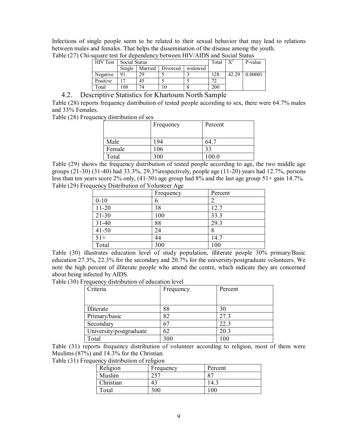Infections of single people seem to be related to their sexual behavior that may lead to relations between males and females. That helps the dissemination of the disease among the youth.

| <b>HIV Test</b> | Social Status | Total   |          | P-value |     |       |         |
|-----------------|---------------|---------|----------|---------|-----|-------|---------|
|                 | Single        | Married | Divorced | widowed |     |       |         |
| Negative        | 91            | 29      |          |         | 28  | 42.29 | 0.00001 |
| Positive        |               | 45      |          |         | ~   |       |         |
| Total           | 08            | 74      |          |         | 200 |       |         |

Table (27) Chi-square test for dependency between HIV/AIDS and Social Status

#### 4.2. Descriptive Statistics for Khartoum North Sample

Table (28) reports frequency distribution of tested people according to sex, there were 64.7% males and 33% Females.

Table (28) Frequency distribution of sex

|        | Frequency | Percent |
|--------|-----------|---------|
|        |           |         |
| Male   | 194       | 64.7    |
| Female | 106       | 33      |
| Total  | 300       | 100.0   |

Table (29) shows the frequency distribution of tested people according to age, the two middle age groups  $(21-30)$   $(31-40)$  had  $33.3\%$ ,  $29.3\%$ respectively, people age  $(11-20)$  years had  $12.7\%$ , persons less than ten years score 2% only, (41-50) age group had 8% and the last age group 51+ gain 14.7%. Table (29) Frequency Distribution of Volunteer Age

|           | Frequency | Percent |
|-----------|-----------|---------|
| $0 - 10$  | n         |         |
| $11-20$   | 38        | 12.7    |
| $21 - 30$ | 100       | 33.3    |
| $31 - 40$ | 88        | 29.3    |
| $41 - 50$ | 24        | 8       |
| $51+$     | 44        | 14.7    |
| Total     | 300       | 100     |

Table (30) illustrates education level of study population, illiterate people 30% primary/Basic education 27.3%, 22.3% for the secondary and 20.7% for the university/postgraduate volunteers. We note the high percent of illiterate people who attend the centre, which indicate they are concerned about being infected by AIDS.

Table (30) Frequency distribution of education level

| Criteria                | Frequency | Percent |
|-------------------------|-----------|---------|
|                         |           |         |
| Illiterate              | 88        | 30      |
| Primary/basic           | 82        | 27.3    |
| Secondary               | 67        | 22.3    |
| University/postgraduate | 62        | 20.3    |
| Total                   | 300       | 100     |

Table (31) reports frequency distribution of volunteer according to religion, most of them were Muslims (87%) and 14.3% for the Christian.

Table (31) Frequency distribution of religion

| Religion  | Frequency | Percent |
|-----------|-----------|---------|
| Muslim    | つくつ       | 87      |
| Christian | 43        | 14.1    |
| Total     | 300       | .00     |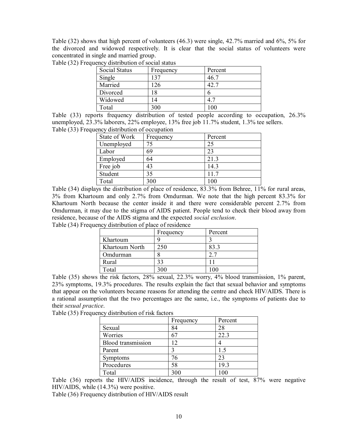Table (32) shows that high percent of volunteers (46.3) were single, 42.7% married and 6%, 5% for the divorced and widowed respectively. It is clear that the social status of volunteers were concentrated in single and married group.

|  |  |  |  | Table (32) Frequency distribution of social status |  |  |  |  |
|--|--|--|--|----------------------------------------------------|--|--|--|--|
|--|--|--|--|----------------------------------------------------|--|--|--|--|

| <b>Social Status</b> | Frequency | Percent |
|----------------------|-----------|---------|
| Single               | 137       | 46 7    |
| Married              | 126       | 42 7    |
| Divorced             | 18        |         |
| Widowed              | 14        | 4.1     |
| Total                | 300       |         |

Table (33) reports frequency distribution of tested people according to occupation, 26.3% unemployed, 23.3% laborers, 22% employee, 13% free job 11.7% student, 1.3% tee sellers. Table (33) Frequency distribution of occupation

| State of Work | Frequency | Percent |  |  |
|---------------|-----------|---------|--|--|
| Unemployed    | 75        | 25      |  |  |
| Labor         | 69        | 23      |  |  |
| Employed      | 64        | 21.3    |  |  |
| Free job      | 43        | 14.3    |  |  |
| Student       | 35        | 11.7    |  |  |
| Total         | 300       | 100     |  |  |

Table (34) displays the distribution of place of residence, 83.3% from Behree, 11% for rural areas, 3% from Khartoum and only 2.7% from Omdurman. We note that the high percent 83.3% for Khartoum North because the center inside it and there were considerable percent 2.7% from Omdurman, it may due to the stigma of AIDS patient. People tend to check their blood away from residence, because of the AIDS stigma and the expected *social exclusion*. Table (34) Frequency distribution of place of residence

|                | Frequency | Percent |
|----------------|-----------|---------|
| Khartoum       |           |         |
| Khartoum North | 250       | 83.3    |
| Omdurman       |           |         |
| Rural          | 33        |         |
| Total          | 300       |         |

Table (35) shows the risk factors, 28% sexual, 22.3% worry, 4% blood transmission, 1% parent, 23% symptoms, 19.3% procedures. The results explain the fact that sexual behavior and symptoms that appear on the volunteers became reasons for attending the centre and check HIV/AIDS. There is a rational assumption that the two percentages are the same, i.e., the symptoms of patients due to their *sexual practice*.

Table (35) Frequency distribution of risk factors

|                           | Frequency     | Percent |
|---------------------------|---------------|---------|
| Sexual                    | 84            | 28      |
| Worries                   |               | 22.3    |
| <b>Blood</b> transmission | $\mathcal{D}$ |         |
| Parent                    |               | 15      |
| Symptoms                  | 76            | 23      |
| Procedures                | 58            | 19.3    |
| Total                     | 300           | 100     |

Table (36) reports the HIV/AIDS incidence, through the result of test, 87% were negative HIV/AIDS, while (14.3%) were positive.

Table (36) Frequency distribution of HIV/AIDS result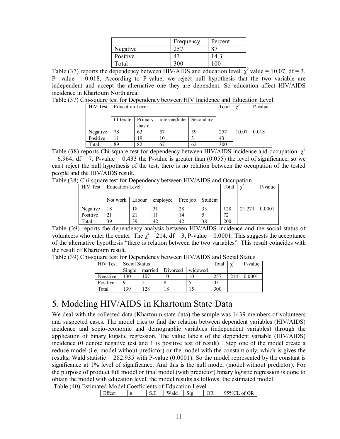|          | Frequency | Percent |
|----------|-----------|---------|
| Negative |           |         |
| Positive |           | 4.3     |
| Гоtal    |           |         |

Table (37) reports the dependency between HIV/AIDS and education level.  $\chi^2$  value = 10.07, df = 3, P- value = 0.018, According to P-value, we reject null hypothesis that the two variable are independent and accept the alternative one they are dependent. So education affect HIV/AIDS incidence in Khartoum North area.

Table (37) Chi-square test for Dependency between HIV Incidence and Education Level

| <b>HIV Test</b> | <b>Education Level</b> |                   | Total        | $\gamma$  | P-value |       |       |
|-----------------|------------------------|-------------------|--------------|-----------|---------|-------|-------|
|                 | Illiterate             | Primary<br>basic/ | intermediate | Secondary |         |       |       |
| Negative        | 78                     | 63                | 57           | 59        | 257     | 10.07 | 0.018 |
| Positive        |                        | 19                | 10           |           | 43      |       |       |
| Total           | 89                     | 82                | 67           | 62        | 300     |       |       |

Table (38) reports Chi-square test for dependency between HIV/AIDS incidence and occupation.  $\chi^2$  $= 6.964$ , df  $= 7$ , P-value  $= 0.433$  the P-value is greater than (0.055) the level of significance, so we can't reject the null hypothesis of the test, there is no relation between the occupation of the tested people and the HIV/AIDS result.

Table (38) Chi-square test for Dependency between HIV/AIDS and Occupation

|    |    | Total                                | $\mathbf v$ | P-value |     |        |        |
|----|----|--------------------------------------|-------------|---------|-----|--------|--------|
|    |    |                                      |             |         |     |        |        |
|    |    | employee                             | Free job    | Student |     |        |        |
|    |    |                                      |             |         |     |        |        |
| 18 | 18 | 31                                   | 28          | 33      | 128 | 21.271 | 0.0001 |
|    |    |                                      | 14          |         | 72  |        |        |
| 39 | 39 | 42                                   | 42          | 38      | 200 |        |        |
|    |    | Education Level<br>Not work   Labour |             |         |     | . .    |        |

Table (39) reports the dependency analysis between HIV/AIDS incidence and the social status of volunteers who enter the center. The  $\chi^2$  = 214, df = 3, P-value = 0.0001. This suggests the acceptance of the alternative hypothesis "there is relation between the two variables". This result coincides with the result of Khartoum result.

Table (39) Chi-square test for Dependency between HIV/AIDS and Social Status

| <b>HIV</b> Test | Social Status |             |          |         | Total | $\sim$<br>∼ | P-value |
|-----------------|---------------|-------------|----------|---------|-------|-------------|---------|
|                 | Single        | married     | Divorced | widowed |       |             |         |
| Negative        | 30            | 07          | 10       |         | 257   | 214         | 0.0001  |
| Positive        |               | $\bigcap$ 1 |          |         | 43    |             |         |
| Total           | 39            | .28         | 18       |         | 300   |             |         |

# 5. Modeling HIV/AIDS in Khartoum State Data

We deal with the collected data (Khartoum state data) the sample was 1439 members of volunteers and suspected cases. The model tries to find the relation between dependent variables (HIV/AIDS) incidence and socio-economic and demographic variables (independent variables) through the application of binary logistic regression. The value labels of the dependent variable (HIV/AIDS) incidence (0 denote negative test and 1 is positive test of result) . Step one of the model create a reduce model (i.e. model without predictor) or the model with the constant only, which is gives the results, Wald statistic  $= 282.935$  with P-value (0.0001). So the model represented by the constant is significance at 1% level of significance. And this is the null model (model without predictor). For the purpose of product full model or final model (with predictor) binary logistic regression is done to obtain the model with education level, the model results as follows, the estimated model

Table (40) Estimated Model Coefficients of Education Level

|  | Effect<br>B | S.E | Wald | Sig. | <b>OR</b> | 95%CL of OR |
|--|-------------|-----|------|------|-----------|-------------|
|--|-------------|-----|------|------|-----------|-------------|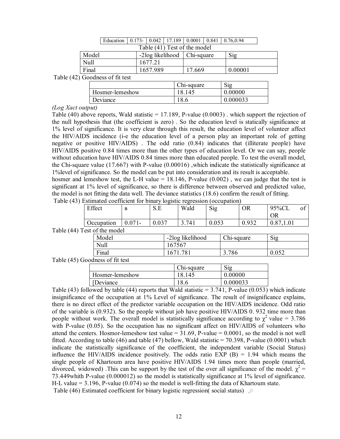|                                  |       | Education | $0.173 -$ | 0.042    |                               |        | $17.189$   0.0001   0.841   0.76,0.94 |  |
|----------------------------------|-------|-----------|-----------|----------|-------------------------------|--------|---------------------------------------|--|
|                                  |       |           |           |          | Table (41) Test of the model  |        |                                       |  |
|                                  | Model |           |           |          | -2log likelihood   Chi-square |        | Sig                                   |  |
|                                  | Null  |           |           | 1677.21  |                               |        |                                       |  |
|                                  | Final |           |           | 1657.989 |                               | 17.669 | 0.00001                               |  |
| $Table (42)$ $Cogahogoffit$ toot |       |           |           |          |                               |        |                                       |  |

Table (42) Goodness of fit test

|                 | Chi-square | Sig      |
|-----------------|------------|----------|
| Hosmer-lemeshow | 18.145     | 0.00000  |
| Deviance        | 18.6       | 0.000033 |

#### *(Log Xact output)*

Table (40) above reports, Wald statistic  $= 17.189$ , P-value (0.0003) . which support the rejection of the null hypothesis that (the coefficient is zero) . So the education level is statically significance at 1% level of significance. It is very clear through this result, the education level of volunteer affect the HIV/AIDS incidence (i-e the education level of a person play an important role of getting negative or positive HIV/AIDS) . The odd ratio (0.84) indicates that (illiterate people) have HIV/AIDS positive 0.84 times more than the other types of education level. Or we can say, people without education have HIV/AIDS 0.84 times more than educated people. To test the overall model, the Chi-square value (17.667) with P-value (0.00016) ,which indicate the statistically significance at 1%level of significance. So the model can be put into consideration and its result is acceptable. hosmer and lemeshow test, the L-H value  $= 18.146$ , P-value (0.002), we can judge that the test is significant at 1% level of significance, so there is difference between observed and predicted value, the model is not fitting the data well. The deviance statistics (18.6) confirm the result of fitting.

|  |  |  | Table (43) Estimated coefficient for binary logistic regression (occupation) |
|--|--|--|------------------------------------------------------------------------------|
|  |  |  |                                                                              |

| Effect            | D<br>D                | $\sim$<br>്.∟    | Wald  | $\sim$<br>Sig        | <b>OR</b>                        | 95%CL<br>OR |  |
|-------------------|-----------------------|------------------|-------|----------------------|----------------------------------|-------------|--|
| <b>Occupation</b> | 071<br>V.V /<br>$\pm$ | $\Omega$<br>v.v. | 3.741 | <u>ስ ስናን</u><br>u.uj | 03 <sup>2</sup><br>∪. <i>フコム</i> |             |  |

Table (44) Test of the model

| 0111011 |                  |            |       |
|---------|------------------|------------|-------|
| Model   | -2log likelihood | Chi-square | Sig   |
| Null    | 167567           |            |       |
| Final   | 1671 781         | 3.786      | 0.052 |
|         |                  |            |       |

#### Table (45) Goodness of fit test

|                 | Chi-square | Sig      |
|-----------------|------------|----------|
| Hosmer-lemeshow | -145       | 0.00000  |
| [Deviance]      | $18_{1}$   | 0.000033 |

Table (43) followed by table (44) reports that Wald statistic  $= 3.741$ , P-value (0.053) which indicate insignificance of the occupation at 1% Level of significance. The result of insignificance explains, there is no direct effect of the predictor variable occupation on the HIV/AIDS incidence. Odd ratio of the variable is (0.932). So the people without job have positive HIV/AIDS 0. 932 time more than people without work. The overall model is statistically significance according to  $\chi^2$  value = 3.786 with P-value (0.05). So the occupation has no significant affect on HIV/AIDS of volunteers who attend the centers. Hosmor-lemeshow test value =  $31.69$ , P-value =  $0.0001$ , so the model is not well fitted. According to table (46) and table (47) bellow, Wald statistic  $= 70.398$ , P-value (0.0001) which indicate the statistically significance of the coefficient, the independent variable (Social Status) influence the HIV/AIDS incidence positively. The odds ratio EXP  $(B) = 1.94$  which means the single people of Khartoum area have positive HIV/AIDS 1.94 times more than people (married, divorced, widowed) This can be support by the test of the over all significance of the model.  $\chi^2$  = 73.449whith P-value (0.000012) so the model is statistically significance at 1% level of significance. H-L value  $= 3.196$ , P-value (0.074) so the model is well-fitting the data of Khartoum state. Table (46) Estimated coefficient for binary logistic regression( social status)  $\sim$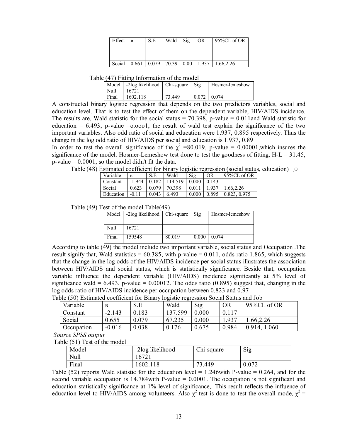| Effect | <b>B</b> | S.E   | Wald  | $\mathrm{Sig}$ | 0R    | 95%CL of OR |
|--------|----------|-------|-------|----------------|-------|-------------|
|        |          |       |       |                |       |             |
|        |          |       |       |                |       |             |
| Social | 0.661    | 0.079 | 70.39 | 0.00           | 1.937 | 1.66.2.26   |

Table (47) Fitting Information of the model

| Model | -2log likelihood | Chi-square | $\mathrm{Sig}$ | Hosmer-lemeshow |
|-------|------------------|------------|----------------|-----------------|
| Null  | 16721            |            |                |                 |
| Final | 1602.118         | 73.449     | 0.072          | 0.074           |

A constructed binary logistic regression that depends on the two predictors variables, social and education level. That is to test the effect of them on the dependent variable, HIV/AIDS incidence. The results are, Wald statistic for the social status  $= 70.398$ , p-value  $= 0.011$  and Wald statistic for education  $= 6.493$ , p-value  $= 0.0001$ , the result of wald test explain the significance of the two important variables. Also odd ratio of social and education were 1.937, 0.895 respectively. Thus the change in the log odd ratio of HIV/AIDS per social and education is 1.937, 0.89

In order to test the overall significance of the  $\chi^2$  =80.019, p-value = 0.00001, which insures the significance of the model. Hosmer-Lemeshow test done to test the goodness of fitting, H-L = 31.45,  $p$ -value = 0.0001, so the model didn't fit the data.

Table (48) Estimated coefficient for binary logistic regression (social status, education)  $\sqrt{2}$ 

| Variable  | B        | S.E   | Wald    | Sig   | <b>OR</b> | 95%CL of OR  |
|-----------|----------|-------|---------|-------|-----------|--------------|
| Constant  | $-1.944$ | 0.182 | 114.519 | 0.000 | 0.143     |              |
| Social    | 0.623    | 0.079 | 70.398  | 0.011 | 1.937     | 1.66.2.26    |
| Education | $-0.11$  | 0.043 | 6.493   | 0.000 | 0.895     | 0.823, 0.975 |

Table (49) Test of the model Table(49)

| Model | -2log likelihood   Chi-square |        | Sig   | Hosmer-lemeshow |
|-------|-------------------------------|--------|-------|-----------------|
|       |                               |        |       |                 |
| Null  | 16721                         |        |       |                 |
| Final | 159548                        | 80.019 | 0.000 | 0.074           |

According to table (49) the model include two important variable, social status and Occupation .The result signify that, Wald statistics =  $60.385$ , with p-value =  $0.011$ , odds ratio 1.865, which suggests that the change in the log odds of the HIV/AIDS incidence per social status illustrates the association between HIV/AIDS and social status, which is statistically significance. Beside that, occupation variable influence the dependent variable (HIV/AIDS) incidence significantly at 5% level of significance wald =  $6.493$ , p-value =  $0.00012$ . The odds ratio  $(0.895)$  suggest that, changing in the log odds ratio of HIV/AIDS incidence per occupation between 0.823 and 0.97

Table (50) Estimated coefficient for Binary logistic regression Social Status and Job

| Variable   | B        | S.E   | Wald    | Sig   | OR    | 95%CL of OR  |
|------------|----------|-------|---------|-------|-------|--------------|
| Constant   | $-2.143$ | 0.183 | 137.599 | 0.000 | 0.117 |              |
| Social     | 0.655    | 0.079 | 67.235  | 0.000 | 1.937 | .66, 2.26    |
| Occupation | $-0.016$ | 0.038 | 0.176   | 0.675 | 0.984 | 0.914, 1.060 |

 *Source SPSS output*

Table (51) Test of the model

| Model | -2log likelihood   | Chi-square  | Sig   |  |
|-------|--------------------|-------------|-------|--|
| Null  | $\sqrt{2}$<br>0/21 |             |       |  |
| Final | 602.118            | 3.449<br>רי | 0.072 |  |

Table (52) reports Wald statistic for the education level  $= 1.246$  with P-value  $= 0.264$ , and for the second variable occupation is 14.784with P-value = 0.0001. The occupation is not significant and education statistically significance at 1% level of significance,. This result reflects the influence of education level to HIV/AIDS among volunteers. Also  $\chi^2$  test is done to test the overall mode,  $\chi^2$  =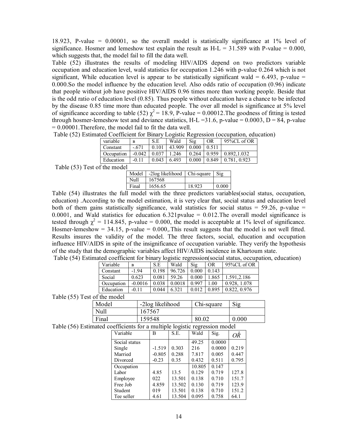18.923, P-value = 0.00001, so the overall model is statistically significance at 1% level of significance. Hosmer and lemeshow test explain the result as  $H-L = 31.589$  with P-value = 0.000, which suggests that, the model fail to fill the data well.

Table (52) illustrates the results of modeling HIV/AIDS depend on two predictors variable occupation and education level, wald statistics for occupation 1.246 with p-value 0.264 which is not significant, While education level is appear to be statistically significant wald =  $6.493$ , p-value = 0.000.So the model influence by the education level. Also odds ratio of occupation (0.96) indicate that people without job have positive HIV/AIDS 0.96 times more than working people. Beside that is the odd ratio of education level (0.85). Thus people without education have a chance to be infected by the disease 0.85 time more than educated people. The over all model is significance at 5% level of significance according to table (52)  $\chi^2$  = 18.9, P-value = 0.00012. The goodness of fitting is tested through hosmer-lemeshow test and deviance statistics,  $H-L = 31.6$ , p-value = 0.0003,  $D = 84$ , p-value = 0.00001.Therefore, the model fail to fit the data well.

| $\alpha$ covincion, for $D_{\text{max}}$ , $D_{\text{max}}$ requests $\alpha$ , $\beta$ contains $\alpha$ , equivalently, $\alpha$ |          |       |        |                 |       |                         |
|------------------------------------------------------------------------------------------------------------------------------------|----------|-------|--------|-----------------|-------|-------------------------|
| variable                                                                                                                           | B        | SE.   | Wald   | Si <sub>2</sub> | OR    | $95\%$ CL of OR         |
| Constant                                                                                                                           | $-671$   | 0.101 | 43.909 | 0.000           | 0.511 |                         |
| Occupation                                                                                                                         | $-0.042$ | 0.037 | 1.246  | 0.264           |       | $0.959 \pm 0.892.1.032$ |
| Education                                                                                                                          | $-0.11$  | 0.043 | 6.493  | 0.000           | 0.849 | 0.781, 0.923            |
|                                                                                                                                    |          |       |        |                 |       |                         |

Table (52) Estimated Coefficient for Binary Logistic Regression (occupation, education)

Table (53) Test of the model

| Model | -2log likelihood   Chi-square |        | $S_1$ |
|-------|-------------------------------|--------|-------|
| Null  | 167568                        |        |       |
| Final | 1656.65                       | 18.923 | 0.000 |

Table (54) illustrates the full model with the three predictors variables(social status, occupation, education) .According to the model estimation, it is very clear that, social status and education level both of them gains statistically significance, wald statistics for social status =  $59.26$ , p-value = 0.0001, and Wald statistics for education  $6.321$  pvalue = 0.012. The overall model significance is tested through  $\chi^2 = 114.845$ , p-value = 0.000, the model is acceptable at 1% level of significance. Hosmer-lemeshow  $= 34.15$ , p-value  $= 0.000$ , This result suggests that the model is not well fitted. Results insures the validity of the model. The three factors, social, education and occupation influence HIV/AIDS in spite of the insignificance of occupation variable. They verify the hypothesis of the study that the demographic variables affect HIV/AIDS incidence in Khartoum state. Table (54) Estimated coefficient for binary logistic regression(social status, occupation, education)

| Variable   | B         | S.E   | Wald   | Sig   | 0 <sub>R</sub> | 95%CL of OR  |
|------------|-----------|-------|--------|-------|----------------|--------------|
| Constant   | $-1.94$   | 0.198 | 96.726 | 0.000 | 0.143          |              |
| Social     | 0.623     | 0.081 | 59.26  | 0.000 | 1.865          | 1.591, 2.186 |
| Occupation | $-0.0016$ | 0.038 | 0.0018 | 0.997 | 1.00           | 0.928, 1.078 |
| Education  | $-0.11$   | 0.044 | 6.321  | 0.012 | 0.895          | 0.822, 0.976 |
|            |           |       |        |       |                |              |

Table (55) Test of the model

| Model | -2log likelihood | Chi-square | Sig   |
|-------|------------------|------------|-------|
| Null  | 167567           |            |       |
| Final | 159548           | 80.02      | 0.000 |

Table (56) Estimated coefficients for a multiple logistic regression model

|               |          |        | reflicients for a maniple logistic regression model |        |       |  |  |  |
|---------------|----------|--------|-----------------------------------------------------|--------|-------|--|--|--|
| Variable      | B        | S.E.   | Wald                                                | Sig.   | OŘ    |  |  |  |
| Social status |          |        | 49.25                                               | 0.0000 |       |  |  |  |
| Single        | $-1.519$ | 0.303  | 216                                                 | 0.0000 | 0.219 |  |  |  |
| Married       | $-0.805$ | 0.288  | 7.817                                               | 0.005  | 0.447 |  |  |  |
| Divorced      | $-0.23$  | 0.35   | 0.432                                               | 0.511  | 0.795 |  |  |  |
| Occupation    |          |        | 10.805                                              | 0.147  |       |  |  |  |
| Labor         | 4.85     | 13.5   | 0.129                                               | 0.719  | 127.8 |  |  |  |
| Employee      | 022      | 13.501 | 0.138                                               | 0.710  | 151.7 |  |  |  |
| Free Job      | 4.859    | 13.502 | 0.130                                               | 0.719  | 123.9 |  |  |  |
| Student       | 019      | 13.501 | 0.138                                               | 0.710  | 151.2 |  |  |  |
| Tee seller    | 4.61     | 13.504 | 0.095                                               | 0.758  | 64.1  |  |  |  |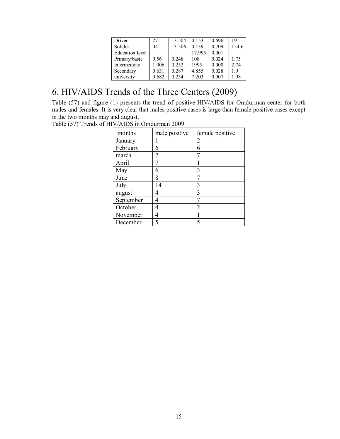| Driver                 | 27    | 13.504 | 0.153  | 0.696 | 191   |
|------------------------|-------|--------|--------|-------|-------|
| Solider                | 04    | 13.506 | 0.139  | 0.709 | 154.6 |
| <b>Education</b> level |       |        | 17.995 | 0.001 |       |
| Primary/basic          | 0.56  | 0.248  | 108    | 0.024 | 1.75  |
| Intermediate           | 1.006 | 0.252  | 1995   | 0.000 | 2.74  |
| Secondary              | 0.631 | 0.287  | 4.855  | 0.028 | 1.9   |
| university             | 0.682 | 0.254  | 7.203  | 0.007 | 1.98  |

# 6. HIV/AIDS Trends of the Three Centers (2009)

Table (57) and figure (1) presents the trend of positive HIV/AIDS for Omdurman center for both males and females. It is very clear that males positive cases is large than female positive cases except in the two months may and august.

Table (57) Trends of HIV/AIDS in Omdurman 2009

| months    | male positive | female positive |
|-----------|---------------|-----------------|
| January   |               | $\mathfrak{D}$  |
| February  | 6             | 6               |
| march     |               | π               |
| April     |               |                 |
| May       | 6             | 3               |
| June      | 8             |                 |
| July      | 14            | 3               |
| august    | 4             | 3               |
| September | 4             | π               |
| October   | 4             | $\mathfrak{D}$  |
| November  | 4             |                 |
| December  |               |                 |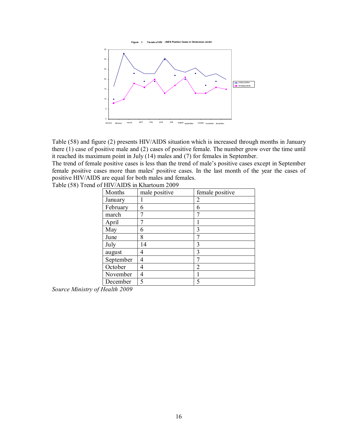



Table (58) and figure (2) presents HIV/AIDS situation which is increased through months in January there (1) case of positive male and (2) cases of positive female. The number grow over the time until it reached its maximum point in July (14) males and (7) for females in September.

The trend of female positive cases is less than the trend of male's positive cases except in September female positive cases more than males' positive cases. In the last month of the year the cases of positive HIV/AIDS are equal for both males and females. Table (58) Trend of HIV/AIDS in Khartoum 2009

| Months    | male positive | female positive |
|-----------|---------------|-----------------|
| January   |               | 2               |
| February  | 6             | 6               |
| march     |               |                 |
| April     |               |                 |
| May       | 6             | 3               |
| June      | 8             | 7               |
| July      | 14            | 3               |
| august    | 4             | 3               |
| September | 4             | 7               |
| October   | 4             | $\mathfrak{D}$  |
| November  | 4             |                 |
| December  | 5             |                 |

*Source Ministry of Health 2009*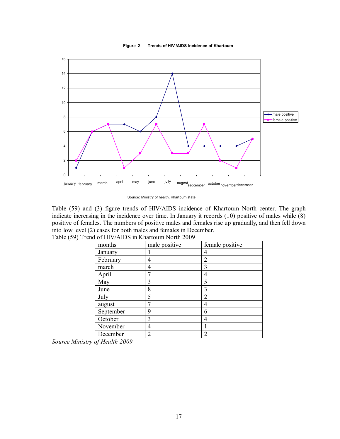**Figure 2 Trends of HIV /AIDS Incidence of Khartoum**



Source: Ministry of health, Khartoum state

Table (59) and (3) figure trends of HIV/AIDS incidence of Khartoum North center. The graph indicate increasing in the incidence over time. In January it records (10) positive of males while (8) positive of females. The numbers of positive males and females rise up gradually, and then fell down into low level (2) cases for both males and females in December.

| months    | male positive  | female positive |
|-----------|----------------|-----------------|
| January   |                | 4               |
| February  | 4              | $\overline{2}$  |
| march     | 4              | $\mathbf{3}$    |
| April     |                | 4               |
| May       | 3              | 5               |
| June      | 8              | 3               |
| July      | 5              | 2               |
| august    |                | 4               |
| September | 9              | 6               |
| October   | 3              | 4               |
| November  | 4              |                 |
| December  | $\overline{c}$ | $\overline{c}$  |

Table (59) Trend of HIV/AIDS in Khartoum North 2009

*Source Ministry of Health 2009*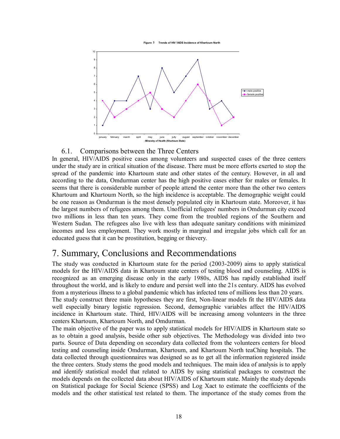



#### 6.1. Comparisons between the Three Centers

In general, HIV/AIDS positive cases among volunteers and suspected cases of the three centers under the study are in critical situation of the disease. There must be more efforts exerted to stop the spread of the pandemic into Khartoum state and other states of the century. However, in all and according to the data, Omdurman center has the high positive cases either for males or females. It seems that there is considerable number of people attend the center more than the other two centers Khartoum and Khartoum North, so the high incidence is acceptable. The demographic weight could be one reason as Omdurman is the most densely populated city in Khartoum state. Moreover, it has the largest numbers of refugees among them. Unofficial refugees' numbers in Omdurman city exceed two millions in less than ten years. They come from the troubled regions of the Southern and Western Sudan. The refugees also live with less than adequate sanitary conditions with minimized incomes and less employment. They work mostly in marginal and irregular jobs which call for an educated guess that it can be prostitution, begging or thievery.

# 7. Summary, Conclusions and Recommendations

The study was conducted in Khartoum state for the period (2003-2009) aims to apply statistical models for the HIV/AIDS data in Khartoum state centers of testing blood and counseling. AIDS is recognized as an emerging disease only in the early 1980s, AIDS has rapidly established itself throughout the world, and is likely to endure and persist well into the 21s century. AIDS has evolved from a mysterious illness to a global pandemic which has infected tens of millions less than 20 years. The study construct three main hypotheses they are first, Non-linear models fit the HIV/AIDS data well especially binary logistic regression. Second, demographic variables affect the HIV/AIDS incidence in Khartoum state. Third, HIV/AIDS will be increasing among volunteers in the three centers Khartoum, Khartoum North, and Omdurman.

The main objective of the paper was to apply statistical models for HIV/AIDS in Khartoum state so as to obtain a good analysis, beside other sub objectives. The Methodology was divided into two parts. Source of Data depending on secondary data collected from the volunteers centers for blood testing and counseling inside Omdurman, Khartoum, and Khartoum North teaChing hospitals. The data collected through questionnaires was designed so as to get all the information registered inside the three centers. Study stems the good models and techniques. The main idea of analysis is to apply and identify statistical model that related to AIDS by using statistical packages to construct the models depends on the collected data about HIV/AIDS of Khartoum state. Mainly the study depends on Statistical package for Social Science (SPSS) and Log Xact to estimate the coefficients of the models and the other statistical test related to them. The importance of the study comes from the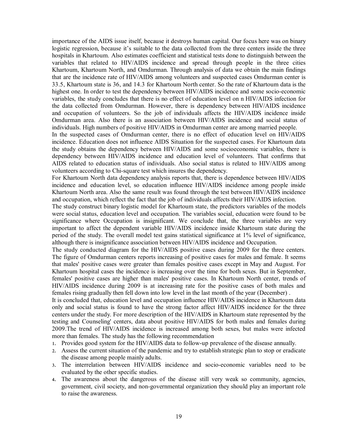importance of the AIDS issue itself, because it destroys human capital. Our focus here was on binary logistic regression, because it's suitable to the data collected from the three centers inside the three hospitals in Khartoum. Also estimates coefficient and statistical tests done to distinguish between the variables that related to HIV/AIDS incidence and spread through people in the three cities Khartoum, Khartoum North, and Omdurman. Through analysis of data we obtain the main findings that are the incidence rate of HIV/AIDS among volunteers and suspected cases Omdurman center is 33.5, Khartoum state is 36, and 14.3 for Khartoum North center. So the rate of Khartoum data is the highest one. In order to test the dependency between HIV/AIDS incidence and some socio-economic variables, the study concludes that there is no effect of education level on n HIV/AIDS infection for the data collected from Omdurman. However, there is dependency between HIV/AIDS incidence and occupation of volunteers. So the job of individuals affects the HIV/AIDS incidence inside Omdurman area. Also there is an association between HIV/AIDS incidence and social status of individuals. High numbers of positive HIV/AIDS in Omdurman center are among married people.

In the suspected cases of Omdurman center, there is no effect of education level on HIV/AIDS incidence. Education does not influence AIDS Situation for the suspected cases. For Khartoum data the study obtains the dependency between HIV/AIDS and some socioeconomic variables, there is dependency between HIV/AIDS incidence and education level of volunteers. That confirms that AIDS related to education status of individuals. Also social status is related to HIV/AIDS among volunteers according to Chi-square test which insures the dependency.

For Khartoum North data dependency analysis reports that, there is dependence between HIV/AIDS incidence and education level, so education influence HIV/AIDS incidence among people inside Khartoum North area. Also the same result was found through the test between HIV/AIDS incidence and occupation, which reflect the fact that the job of individuals affects their HIV/AIDS infection.

The study construct binary logistic model for Khartoum state, the predictors variables of the models were social status, education level and occupation. The variables social, education were found to be significance where Occupation is insignificant. We conclude that, the three variables are very important to affect the dependent variable HIV/AIDS incidence inside Khartoum state during the period of the study. The overall model test gains statistical significance at 1% level of significance, although there is insignificance association between HIV/AIDS incidence and Occupation.

The study conducted diagram for the HIV/AIDS positive cases during 2009 for the three centers. The figure of Omdurman centers reports increasing of positive cases for males and female. It seems that males' positive cases were greater than females positive cases except in May and August. For Khartoum hospital cases the incidence is increasing over the time for both sexes. But in September, females' positive cases are higher than males' positive cases. In Khartoum North center, trends of HIV/AIDS incidence during 2009 is at increasing rate for the positive cases of both males and females rising gradually then fell down into low level in the last month of the year (December) .

It is concluded that, education level and occupation influence HIV/AIDS incidence in Khartoum data only and social status is found to have the strong factor affect HIV/AIDS incidence for the three centers under the study. For more description of the HIV/AIDS in Khartoum state represented by the testing and Counseling' centers, data about positive HIV/AIDS for both males and females during 2009.The trend of HIV/AIDS incidence is increased among both sexes, but males were infected more than females. The study has the following recommendation

- 1. Provides good system for the HIV/AIDS data to follow-up prevalence of the disease annually.
- 2. Assess the current situation of the pandemic and try to establish strategic plan to stop or eradicate the disease among people mainly adults.
- 3. The interrelation between HIV/AIDS incidence and socio-economic variables need to be evaluated by the other specific studies.
- 4. The awareness about the dangerous of the disease still very weak so community, agencies, government, civil society, and non-governmental organization they should play an important role to raise the awareness.